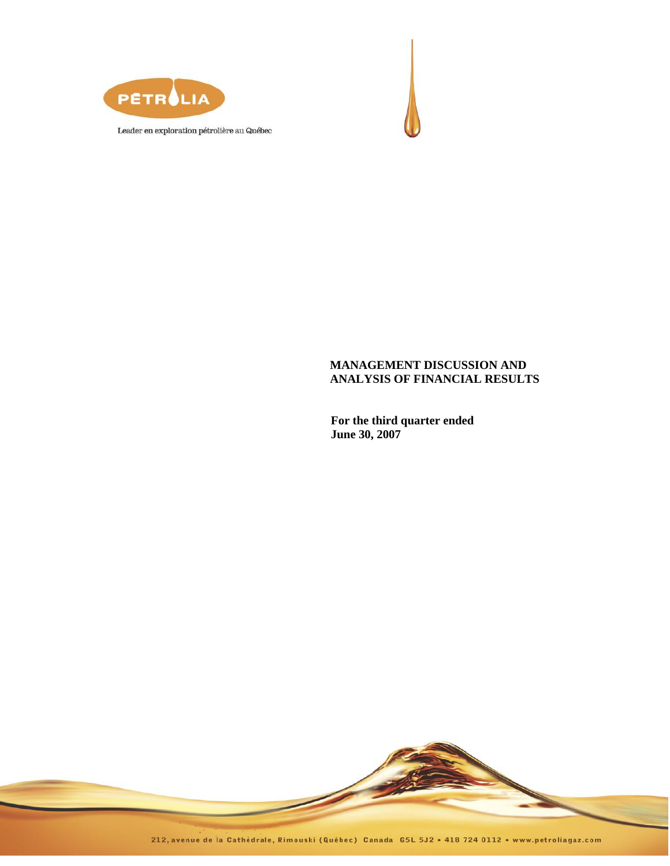



# **MANAGEMENT DISCUSSION AND ANALYSIS OF FINANCIAL RESULTS**

**For the third quarter ended June 30, 2007**

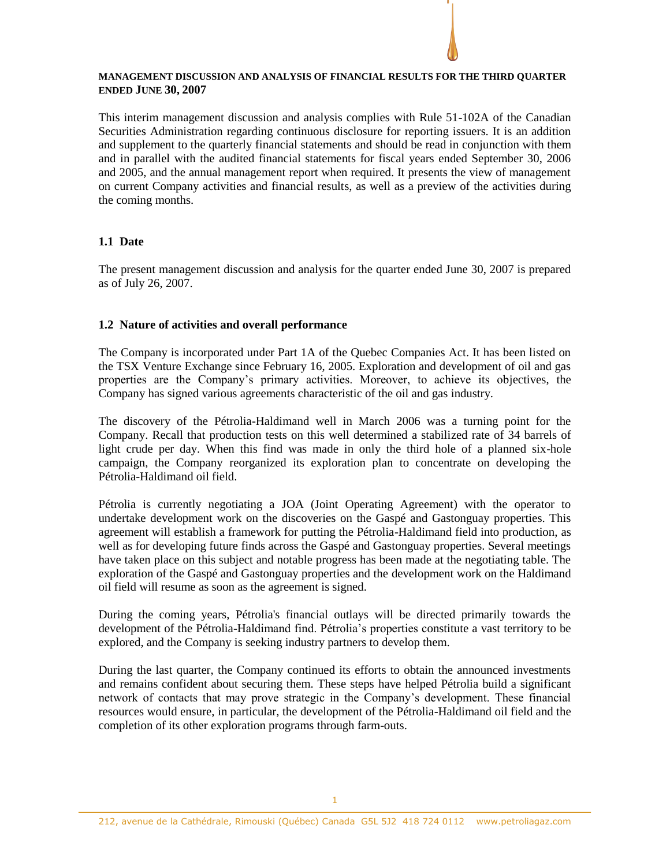### **MANAGEMENT DISCUSSION AND ANALYSIS OF FINANCIAL RESULTS FOR THE THIRD QUARTER ENDED JUNE 30, 2007**

This interim management discussion and analysis complies with Rule 51-102A of the Canadian Securities Administration regarding continuous disclosure for reporting issuers. It is an addition and supplement to the quarterly financial statements and should be read in conjunction with them and in parallel with the audited financial statements for fiscal years ended September 30, 2006 and 2005, and the annual management report when required. It presents the view of management on current Company activities and financial results, as well as a preview of the activities during the coming months.

# **1.1 Date**

The present management discussion and analysis for the quarter ended June 30, 2007 is prepared as of July 26, 2007.

# **1.2 Nature of activities and overall performance**

The Company is incorporated under Part 1A of the Quebec Companies Act. It has been listed on the TSX Venture Exchange since February 16, 2005. Exploration and development of oil and gas properties are the Company's primary activities. Moreover, to achieve its objectives, the Company has signed various agreements characteristic of the oil and gas industry.

The discovery of the Pétrolia-Haldimand well in March 2006 was a turning point for the Company. Recall that production tests on this well determined a stabilized rate of 34 barrels of light crude per day. When this find was made in only the third hole of a planned six-hole campaign, the Company reorganized its exploration plan to concentrate on developing the Pétrolia-Haldimand oil field.

Pétrolia is currently negotiating a JOA (Joint Operating Agreement) with the operator to undertake development work on the discoveries on the Gaspé and Gastonguay properties. This agreement will establish a framework for putting the Pétrolia-Haldimand field into production, as well as for developing future finds across the Gaspé and Gastonguay properties. Several meetings have taken place on this subject and notable progress has been made at the negotiating table. The exploration of the Gaspé and Gastonguay properties and the development work on the Haldimand oil field will resume as soon as the agreement is signed.

During the coming years, Pétrolia's financial outlays will be directed primarily towards the development of the Pétrolia-Haldimand find. Pétrolia's properties constitute a vast territory to be explored, and the Company is seeking industry partners to develop them.

During the last quarter, the Company continued its efforts to obtain the announced investments and remains confident about securing them. These steps have helped Pétrolia build a significant network of contacts that may prove strategic in the Company's development. These financial resources would ensure, in particular, the development of the Pétrolia-Haldimand oil field and the completion of its other exploration programs through farm-outs.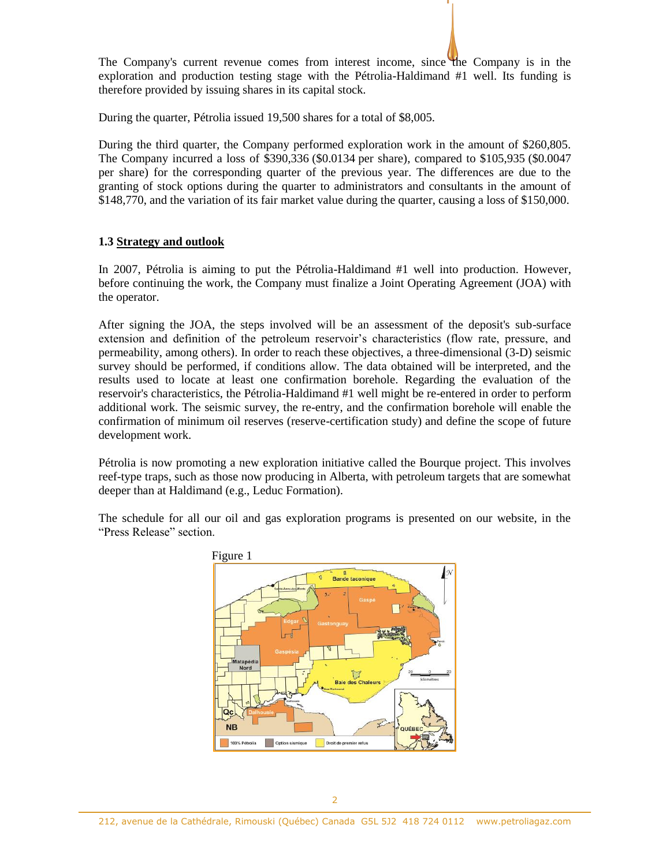The Company's current revenue comes from interest income, since the Company is in the exploration and production testing stage with the Pétrolia-Haldimand #1 well. Its funding is therefore provided by issuing shares in its capital stock.

During the quarter, Pétrolia issued 19,500 shares for a total of \$8,005.

During the third quarter, the Company performed exploration work in the amount of \$260,805. The Company incurred a loss of \$390,336 (\$0.0134 per share), compared to \$105,935 (\$0.0047 per share) for the corresponding quarter of the previous year. The differences are due to the granting of stock options during the quarter to administrators and consultants in the amount of \$148,770, and the variation of its fair market value during the quarter, causing a loss of \$150,000.

### **1.3 Strategy and outlook**

In 2007, Pétrolia is aiming to put the Pétrolia-Haldimand #1 well into production. However, before continuing the work, the Company must finalize a Joint Operating Agreement (JOA) with the operator.

After signing the JOA, the steps involved will be an assessment of the deposit's sub-surface extension and definition of the petroleum reservoir's characteristics (flow rate, pressure, and permeability, among others). In order to reach these objectives, a three-dimensional (3-D) seismic survey should be performed, if conditions allow. The data obtained will be interpreted, and the results used to locate at least one confirmation borehole. Regarding the evaluation of the reservoir's characteristics, the Pétrolia-Haldimand #1 well might be re-entered in order to perform additional work. The seismic survey, the re-entry, and the confirmation borehole will enable the confirmation of minimum oil reserves (reserve-certification study) and define the scope of future development work.

Pétrolia is now promoting a new exploration initiative called the Bourque project. This involves reef-type traps, such as those now producing in Alberta, with petroleum targets that are somewhat deeper than at Haldimand (e.g., Leduc Formation).

The schedule for all our oil and gas exploration programs is presented on our website, in the "Press Release" section.

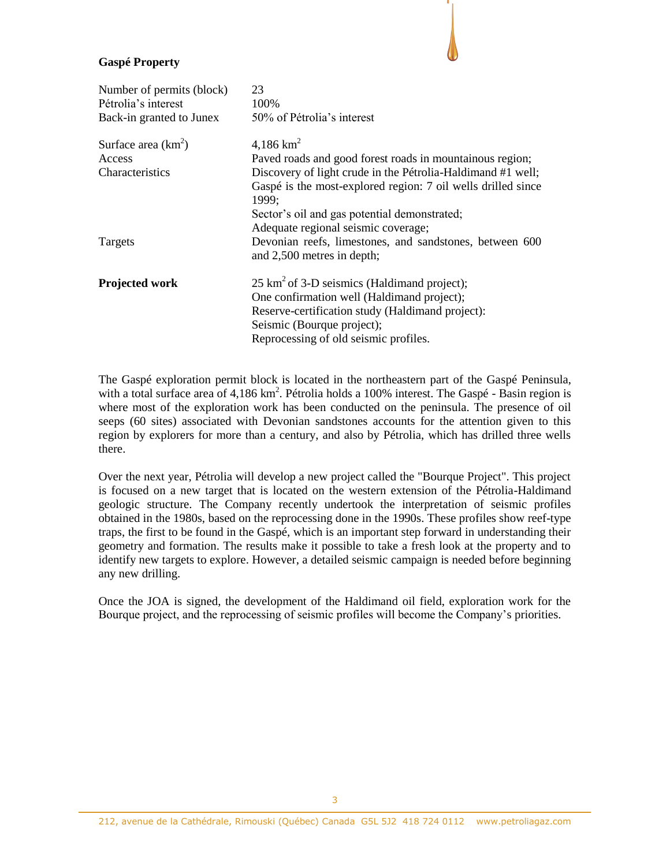## **Gaspé Property**

| Number of permits (block)<br>Pétrolia's interest<br>Back-in granted to Junex | 23<br>100%<br>50% of Pétrolia's interest                                                                                             |
|------------------------------------------------------------------------------|--------------------------------------------------------------------------------------------------------------------------------------|
| Surface area $(km^2)$                                                        | 4,186 $km^2$                                                                                                                         |
| Access                                                                       | Paved roads and good forest roads in mountainous region;                                                                             |
| <b>Characteristics</b>                                                       | Discovery of light crude in the Pétrolia-Haldimand #1 well;<br>Gaspé is the most-explored region: 7 oil wells drilled since<br>1999: |
|                                                                              | Sector's oil and gas potential demonstrated;<br>Adequate regional seismic coverage;                                                  |
| Targets                                                                      | Devonian reefs, limestones, and sandstones, between 600<br>and 2,500 metres in depth;                                                |
| Projected work                                                               | $25 \text{ km}^2$ of 3-D seismics (Haldimand project);<br>One confirmation well (Haldimand project);                                 |
|                                                                              | Reserve-certification study (Haldimand project):<br>Seismic (Bourque project);                                                       |
|                                                                              | Reprocessing of old seismic profiles.                                                                                                |

The Gaspé exploration permit block is located in the northeastern part of the Gaspé Peninsula, with a total surface area of 4,186 km<sup>2</sup>. Pétrolia holds a 100% interest. The Gaspé - Basin region is where most of the exploration work has been conducted on the peninsula. The presence of oil seeps (60 sites) associated with Devonian sandstones accounts for the attention given to this region by explorers for more than a century, and also by Pétrolia, which has drilled three wells there.

Over the next year, Pétrolia will develop a new project called the "Bourque Project". This project is focused on a new target that is located on the western extension of the Pétrolia-Haldimand geologic structure. The Company recently undertook the interpretation of seismic profiles obtained in the 1980s, based on the reprocessing done in the 1990s. These profiles show reef-type traps, the first to be found in the Gaspé, which is an important step forward in understanding their geometry and formation. The results make it possible to take a fresh look at the property and to identify new targets to explore. However, a detailed seismic campaign is needed before beginning any new drilling.

Once the JOA is signed, the development of the Haldimand oil field, exploration work for the Bourque project, and the reprocessing of seismic profiles will become the Company's priorities.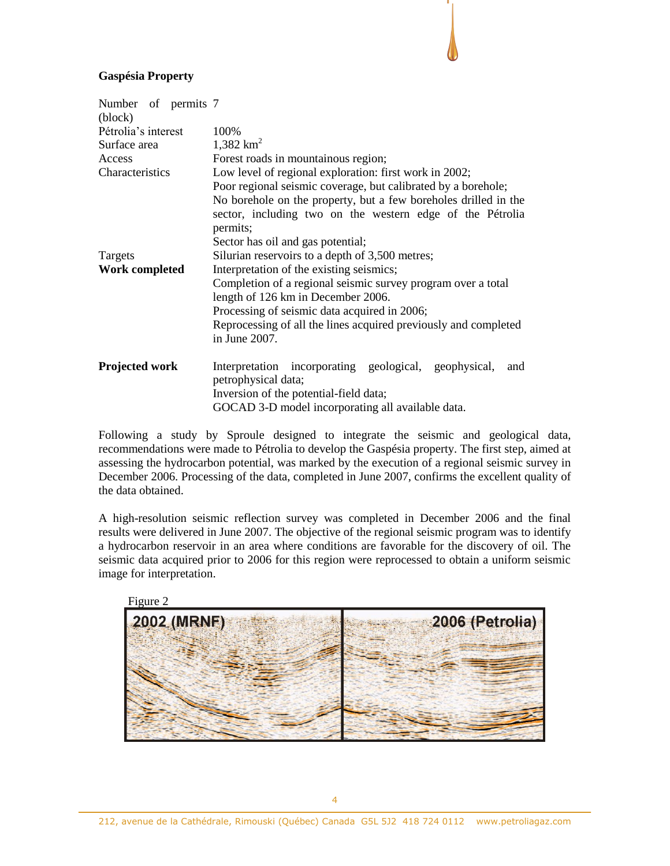## **Gaspésia Property**

| Number of permits 7<br>(block) |                                                                 |  |  |  |  |
|--------------------------------|-----------------------------------------------------------------|--|--|--|--|
| Pétrolia's interest            | 100%                                                            |  |  |  |  |
| Surface area                   | 1,382 $km^2$                                                    |  |  |  |  |
| Access                         | Forest roads in mountainous region;                             |  |  |  |  |
| Characteristics                | Low level of regional exploration: first work in 2002;          |  |  |  |  |
|                                | Poor regional seismic coverage, but calibrated by a borehole;   |  |  |  |  |
|                                | No borehole on the property, but a few boreholes drilled in the |  |  |  |  |
|                                | sector, including two on the western edge of the Pétrolia       |  |  |  |  |
|                                | permits;                                                        |  |  |  |  |
|                                | Sector has oil and gas potential;                               |  |  |  |  |
| Targets                        | Silurian reservoirs to a depth of 3,500 metres;                 |  |  |  |  |
| <b>Work completed</b>          | Interpretation of the existing seismics;                        |  |  |  |  |
|                                | Completion of a regional seismic survey program over a total    |  |  |  |  |
|                                | length of 126 km in December 2006.                              |  |  |  |  |
|                                | Processing of seismic data acquired in 2006;                    |  |  |  |  |
|                                | Reprocessing of all the lines acquired previously and completed |  |  |  |  |
|                                | in June 2007.                                                   |  |  |  |  |
| <b>Projected work</b>          | Interpretation incorporating geological, geophysical,<br>and    |  |  |  |  |
|                                | petrophysical data;                                             |  |  |  |  |
|                                | Inversion of the potential-field data;                          |  |  |  |  |
|                                | GOCAD 3-D model incorporating all available data.               |  |  |  |  |

Following a study by Sproule designed to integrate the seismic and geological data, recommendations were made to Pétrolia to develop the Gaspésia property. The first step, aimed at assessing the hydrocarbon potential, was marked by the execution of a regional seismic survey in December 2006. Processing of the data, completed in June 2007, confirms the excellent quality of the data obtained.

A high-resolution seismic reflection survey was completed in December 2006 and the final results were delivered in June 2007. The objective of the regional seismic program was to identify a hydrocarbon reservoir in an area where conditions are favorable for the discovery of oil. The seismic data acquired prior to 2006 for this region were reprocessed to obtain a uniform seismic image for interpretation.

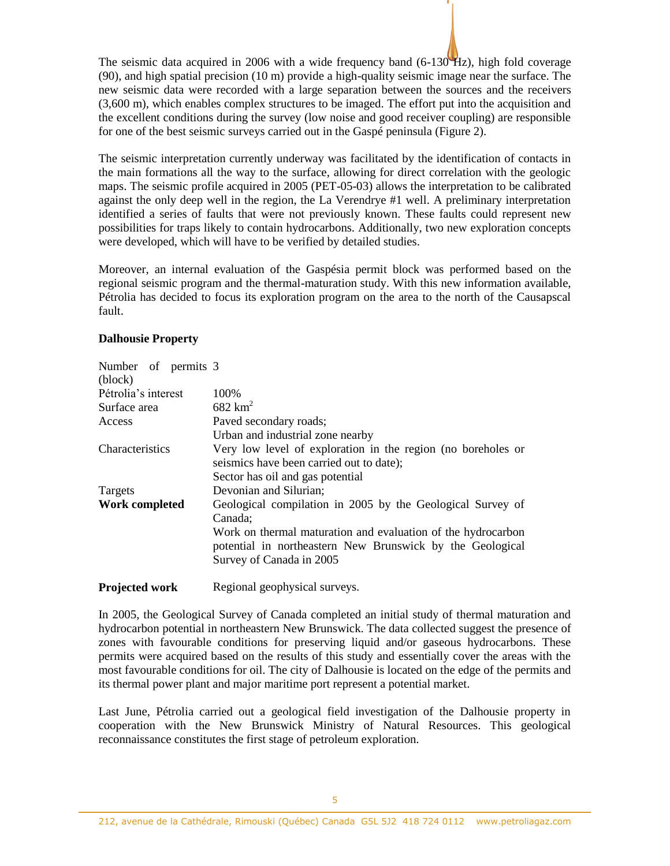The seismic data acquired in 2006 with a wide frequency band (6-130 Hz), high fold coverage (90), and high spatial precision (10 m) provide a high-quality seismic image near the surface. The new seismic data were recorded with a large separation between the sources and the receivers (3,600 m), which enables complex structures to be imaged. The effort put into the acquisition and the excellent conditions during the survey (low noise and good receiver coupling) are responsible for one of the best seismic surveys carried out in the Gaspé peninsula (Figure 2).

The seismic interpretation currently underway was facilitated by the identification of contacts in the main formations all the way to the surface, allowing for direct correlation with the geologic maps. The seismic profile acquired in 2005 (PET-05-03) allows the interpretation to be calibrated against the only deep well in the region, the La Verendrye #1 well. A preliminary interpretation identified a series of faults that were not previously known. These faults could represent new possibilities for traps likely to contain hydrocarbons. Additionally, two new exploration concepts were developed, which will have to be verified by detailed studies.

Moreover, an internal evaluation of the Gaspésia permit block was performed based on the regional seismic program and the thermal-maturation study. With this new information available, Pétrolia has decided to focus its exploration program on the area to the north of the Causapscal fault.

#### **Dalhousie Property**

| Number of permits 3    |                                                              |  |  |  |  |
|------------------------|--------------------------------------------------------------|--|--|--|--|
| (block)                |                                                              |  |  |  |  |
| Pétrolia's interest    | 100%                                                         |  |  |  |  |
| Surface area           | $682$ km <sup>2</sup>                                        |  |  |  |  |
| Access                 | Paved secondary roads;                                       |  |  |  |  |
|                        | Urban and industrial zone nearby                             |  |  |  |  |
| <b>Characteristics</b> | Very low level of exploration in the region (no boreholes or |  |  |  |  |
|                        | seismics have been carried out to date);                     |  |  |  |  |
|                        | Sector has oil and gas potential                             |  |  |  |  |
| Targets                | Devonian and Silurian;                                       |  |  |  |  |
| Work completed         | Geological compilation in 2005 by the Geological Survey of   |  |  |  |  |
|                        | Canada;                                                      |  |  |  |  |
|                        | Work on thermal maturation and evaluation of the hydrocarbon |  |  |  |  |
|                        | potential in northeastern New Brunswick by the Geological    |  |  |  |  |
|                        | Survey of Canada in 2005                                     |  |  |  |  |
|                        |                                                              |  |  |  |  |

**Projected work** Regional geophysical surveys.

In 2005, the Geological Survey of Canada completed an initial study of thermal maturation and hydrocarbon potential in northeastern New Brunswick. The data collected suggest the presence of zones with favourable conditions for preserving liquid and/or gaseous hydrocarbons. These permits were acquired based on the results of this study and essentially cover the areas with the most favourable conditions for oil. The city of Dalhousie is located on the edge of the permits and its thermal power plant and major maritime port represent a potential market.

Last June, Pétrolia carried out a geological field investigation of the Dalhousie property in cooperation with the New Brunswick Ministry of Natural Resources. This geological reconnaissance constitutes the first stage of petroleum exploration.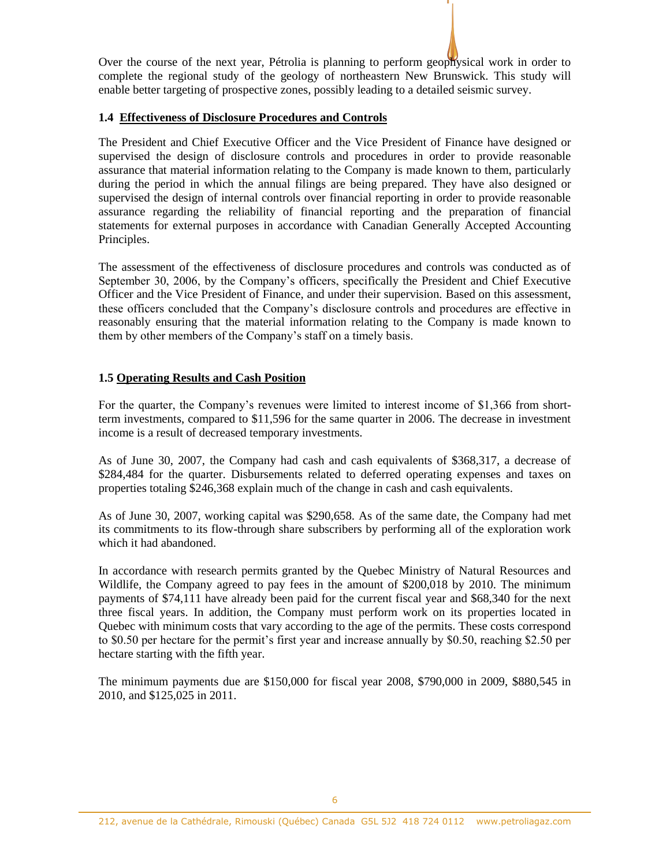Over the course of the next year, Pétrolia is planning to perform geophysical work in order to complete the regional study of the geology of northeastern New Brunswick. This study will enable better targeting of prospective zones, possibly leading to a detailed seismic survey.

## **1.4 Effectiveness of Disclosure Procedures and Controls**

The President and Chief Executive Officer and the Vice President of Finance have designed or supervised the design of disclosure controls and procedures in order to provide reasonable assurance that material information relating to the Company is made known to them, particularly during the period in which the annual filings are being prepared. They have also designed or supervised the design of internal controls over financial reporting in order to provide reasonable assurance regarding the reliability of financial reporting and the preparation of financial statements for external purposes in accordance with Canadian Generally Accepted Accounting Principles.

The assessment of the effectiveness of disclosure procedures and controls was conducted as of September 30, 2006, by the Company's officers, specifically the President and Chief Executive Officer and the Vice President of Finance, and under their supervision. Based on this assessment, these officers concluded that the Company's disclosure controls and procedures are effective in reasonably ensuring that the material information relating to the Company is made known to them by other members of the Company's staff on a timely basis.

# **1.5 Operating Results and Cash Position**

For the quarter, the Company's revenues were limited to interest income of \$1,366 from shortterm investments, compared to \$11,596 for the same quarter in 2006. The decrease in investment income is a result of decreased temporary investments.

As of June 30, 2007, the Company had cash and cash equivalents of \$368,317, a decrease of \$284,484 for the quarter. Disbursements related to deferred operating expenses and taxes on properties totaling \$246,368 explain much of the change in cash and cash equivalents.

As of June 30, 2007, working capital was \$290,658. As of the same date, the Company had met its commitments to its flow-through share subscribers by performing all of the exploration work which it had abandoned.

In accordance with research permits granted by the Quebec Ministry of Natural Resources and Wildlife, the Company agreed to pay fees in the amount of \$200,018 by 2010. The minimum payments of \$74,111 have already been paid for the current fiscal year and \$68,340 for the next three fiscal years. In addition, the Company must perform work on its properties located in Quebec with minimum costs that vary according to the age of the permits. These costs correspond to \$0.50 per hectare for the permit's first year and increase annually by \$0.50, reaching \$2.50 per hectare starting with the fifth year.

The minimum payments due are \$150,000 for fiscal year 2008, \$790,000 in 2009, \$880,545 in 2010, and \$125,025 in 2011.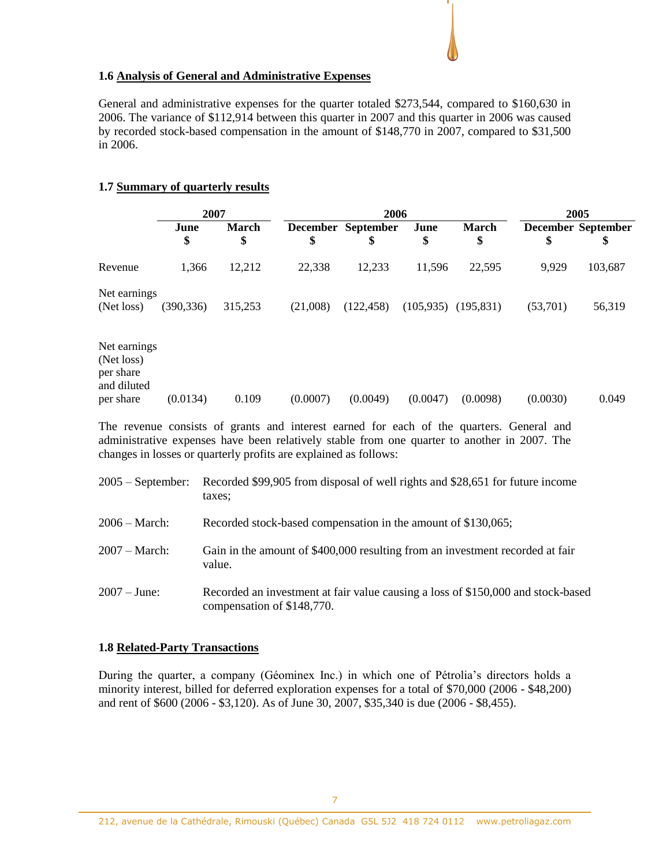## **1.6 Analysis of General and Administrative Expenses**

General and administrative expenses for the quarter totaled \$273,544, compared to \$160,630 in 2006. The variance of \$112,914 between this quarter in 2007 and this quarter in 2006 was caused by recorded stock-based compensation in the amount of \$148,770 in 2007, compared to \$31,500 in 2006.

### **1.7 Summary of quarterly results**

|                                                                     | 2007       |                    | 2006     |                          |            |                         | 2005     |                                 |
|---------------------------------------------------------------------|------------|--------------------|----------|--------------------------|------------|-------------------------|----------|---------------------------------|
|                                                                     | June<br>\$ | <b>March</b><br>\$ | \$       | December September<br>\$ | June<br>\$ | <b>March</b><br>\$      | \$       | <b>December September</b><br>\$ |
| Revenue                                                             | 1,366      | 12,212             | 22,338   | 12,233                   | 11,596     | 22,595                  | 9,929    | 103,687                         |
| Net earnings<br>(Net loss)                                          | (390, 336) | 315,253            | (21,008) | (122, 458)               |            | $(105,935)$ $(195,831)$ | (53,701) | 56,319                          |
| Net earnings<br>(Net loss)<br>per share<br>and diluted<br>per share | (0.0134)   | 0.109              | (0.0007) | (0.0049)                 | (0.0047)   | (0.0098)                | (0.0030) | 0.049                           |

The revenue consists of grants and interest earned for each of the quarters. General and administrative expenses have been relatively stable from one quarter to another in 2007. The changes in losses or quarterly profits are explained as follows:

| $2005 - September:$ | Recorded \$99,905 from disposal of well rights and \$28,651 for future income<br>taxes:                        |
|---------------------|----------------------------------------------------------------------------------------------------------------|
| $2006 - March:$     | Recorded stock-based compensation in the amount of \$130,065;                                                  |
| $2007 - March:$     | Gain in the amount of \$400,000 resulting from an investment recorded at fair<br>value.                        |
| $2007 - June:$      | Recorded an investment at fair value causing a loss of \$150,000 and stock-based<br>compensation of \$148,770. |

#### **1.8 Related-Party Transactions**

During the quarter, a company (Géominex Inc.) in which one of Pétrolia's directors holds a minority interest, billed for deferred exploration expenses for a total of \$70,000 (2006 - \$48,200) and rent of \$600 (2006 - \$3,120). As of June 30, 2007, \$35,340 is due (2006 - \$8,455).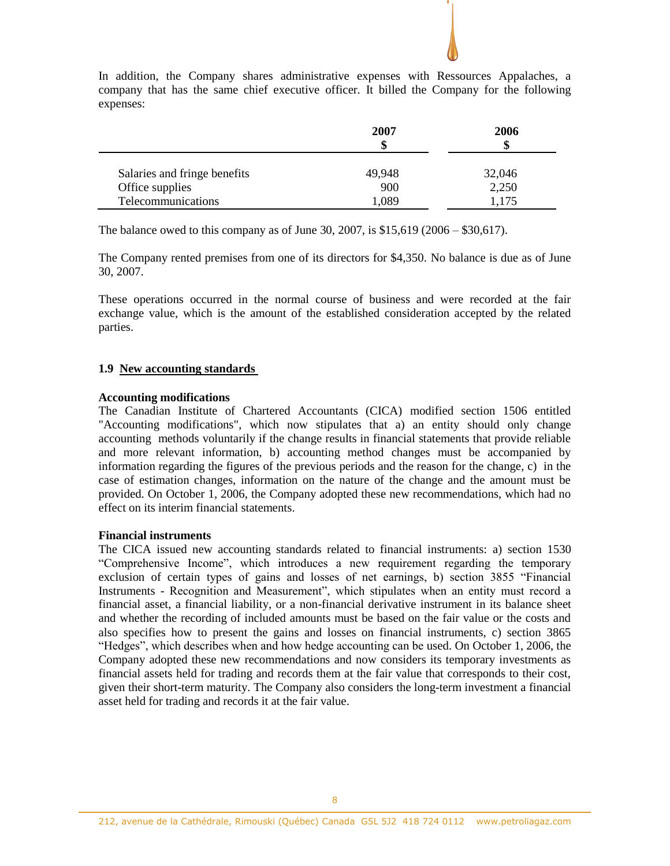

In addition, the Company shares administrative expenses with Ressources Appalaches, a company that has the same chief executive officer. It billed the Company for the following expenses:

The balance owed to this company as of June 30, 2007, is \$15,619 (2006 – \$30,617).

The Company rented premises from one of its directors for \$4,350. No balance is due as of June 30, 2007.

These operations occurred in the normal course of business and were recorded at the fair exchange value, which is the amount of the established consideration accepted by the related parties.

### **1.9 New accounting standards**

#### **Accounting modifications**

The Canadian Institute of Chartered Accountants (CICA) modified section 1506 entitled "Accounting modifications", which now stipulates that a) an entity should only change accounting methods voluntarily if the change results in financial statements that provide reliable and more relevant information, b) accounting method changes must be accompanied by information regarding the figures of the previous periods and the reason for the change, c) in the case of estimation changes, information on the nature of the change and the amount must be provided. On October 1, 2006, the Company adopted these new recommendations, which had no effect on its interim financial statements.

#### **Financial instruments**

The CICA issued new accounting standards related to financial instruments: a) section 1530 "Comprehensive Income", which introduces a new requirement regarding the temporary exclusion of certain types of gains and losses of net earnings, b) section 3855 "Financial Instruments - Recognition and Measurement", which stipulates when an entity must record a financial asset, a financial liability, or a non-financial derivative instrument in its balance sheet and whether the recording of included amounts must be based on the fair value or the costs and also specifies how to present the gains and losses on financial instruments, c) section 3865 "Hedges", which describes when and how hedge accounting can be used. On October 1, 2006, the Company adopted these new recommendations and now considers its temporary investments as financial assets held for trading and records them at the fair value that corresponds to their cost, given their short-term maturity. The Company also considers the long-term investment a financial asset held for trading and records it at the fair value.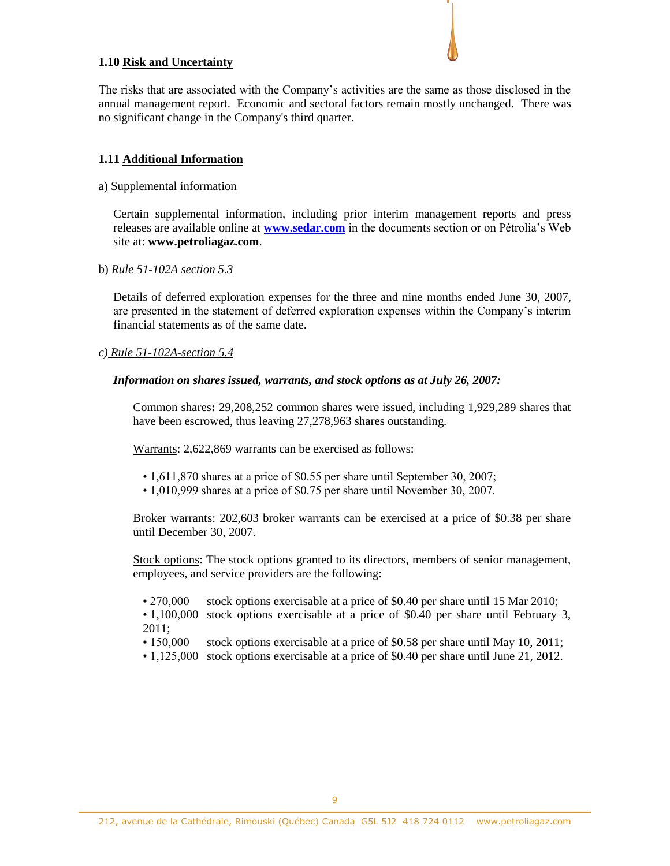### **1.10 Risk and Uncertainty**

The risks that are associated with the Company's activities are the same as those disclosed in the annual management report. Economic and sectoral factors remain mostly unchanged. There was no significant change in the Company's third quarter.

## **1.11 Additional Information**

#### a) Supplemental information

Certain supplemental information, including prior interim management reports and press releases are available online at **[www.sedar.com](http://www.sedar.com/)** in the documents section or on Pétrolia's Web site at: **www.petroliagaz.com**.

#### b) *Rule 51-102A section 5.3*

Details of deferred exploration expenses for the three and nine months ended June 30, 2007, are presented in the statement of deferred exploration expenses within the Company's interim financial statements as of the same date.

#### *c) Rule 51-102A-section 5.4*

#### *Information on shares issued, warrants, and stock options as at July 26, 2007:*

Common shares**:** 29,208,252 common shares were issued, including 1,929,289 shares that have been escrowed, thus leaving 27,278,963 shares outstanding.

Warrants: 2,622,869 warrants can be exercised as follows:

- 1,611,870 shares at a price of \$0.55 per share until September 30, 2007;
- 1,010,999 shares at a price of \$0.75 per share until November 30, 2007.

Broker warrants: 202,603 broker warrants can be exercised at a price of \$0.38 per share until December 30, 2007.

Stock options: The stock options granted to its directors, members of senior management, employees, and service providers are the following:

- 270,000 stock options exercisable at a price of \$0.40 per share until 15 Mar 2010;
- 1,100,000 stock options exercisable at a price of \$0.40 per share until February 3, 2011;
- 150,000 stock options exercisable at a price of \$0.58 per share until May 10, 2011;
- 1,125,000 stock options exercisable at a price of \$0.40 per share until June 21, 2012.